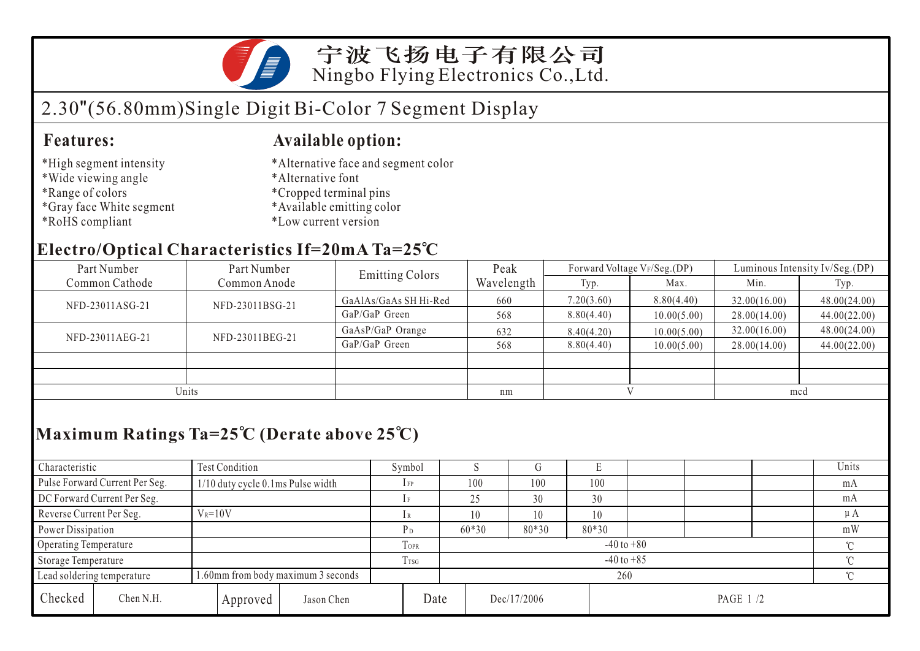

# 2.30"(56.80mm)Single Digit Bi-Color 7 Segment Display

#### **Features: Available option:**

- \*High segment intensity
- \*Wide viewing angle
- \*Range of colors
- \*Gray face White segment
- \*RoHS compliant
- \*Alternative face and segment color
- \*Alternative font
- \*Cropped terminal pins
- \*Available emitting color
- \*Low current version

### **Electro/Optical Characteristics If=20mA Ta=25 C**

| Part Number                    | Part Number     | <b>Emitting Colors</b> | Peak       |            | Forward Voltage VF/Seg.(DP) | Luminous Intensity Iv/Seg.(DP) |              |  |
|--------------------------------|-----------------|------------------------|------------|------------|-----------------------------|--------------------------------|--------------|--|
| Common Cathode<br>Common Anode |                 |                        | Wavelength | Typ.       | Max.                        | Min.                           | Typ.         |  |
| NFD-23011ASG-21                | NFD-23011BSG-21 | GaAlAs/GaAs SH Hi-Red  | 660        | 7.20(3.60) | 8.80(4.40)                  | 32.00(16.00)                   | 48.00(24.00) |  |
|                                |                 | GaP/GaP Green          | 568        | 8.80(4.40) | 10.00(5.00)                 | 28.00(14.00)                   | 44.00(22.00) |  |
| NFD-23011AEG-21                | NFD-23011BEG-21 | GaAsP/GaP Orange       | 632        | 8.40(4.20) | 10.00(5.00)                 | 32.00(16.00)                   | 48.00(24.00) |  |
|                                |                 | GaP/GaP Green          | 568        | 8.80(4.40) | 10.00(5.00)                 | 28.00(14.00)                   | 44.00(22.00) |  |
|                                |                 |                        |            |            |                             |                                |              |  |
|                                |                 |                        |            |            |                             |                                |              |  |
| Units                          |                 |                        | nm         |            |                             | mcd                            |              |  |

## **Maximum Ratings Ta=25 C (Derate above 25 C)**

| Characteristic              |                                                                 | Test Condition                    |                |                | Symbol  |    |       |             |     |                 |    |    | Units   |
|-----------------------------|-----------------------------------------------------------------|-----------------------------------|----------------|----------------|---------|----|-------|-------------|-----|-----------------|----|----|---------|
|                             | Pulse Forward Current Per Seg.                                  | 1/10 duty cycle 0.1ms Pulse width |                |                | $1$ FP  |    | 100   | 100         | 100 |                 |    |    | mA      |
| DC Forward Current Per Seg. |                                                                 |                                   |                | 25             |         | 30 | 30    |             |     |                 | mA |    |         |
| Reverse Current Per Seg.    |                                                                 | $V_R = 10V$                       |                |                |         |    | 10    | 10          | 10  |                 |    |    | $\mu A$ |
| Power Dissipation           |                                                                 |                                   |                | P <sub>D</sub> | $60*30$ |    | 80*30 | 80*30       |     |                 |    | mW |         |
| Operating Temperature       |                                                                 |                                   | <b>TOPR</b>    | $-40$ to $+80$ |         |    |       |             |     |                 |    |    |         |
| Storage Temperature         |                                                                 | TTSG                              | $-40$ to $+85$ |                |         |    |       |             |     |                 |    |    |         |
|                             | .60mm from body maximum 3 seconds<br>Lead soldering temperature |                                   |                |                | 260     |    |       |             |     |                 |    |    |         |
| Checked                     | Chen N.H.                                                       |                                   | Approved       | Jason Chen     | Date    |    |       | Dec/17/2006 |     | <b>PAGE 1/2</b> |    |    |         |